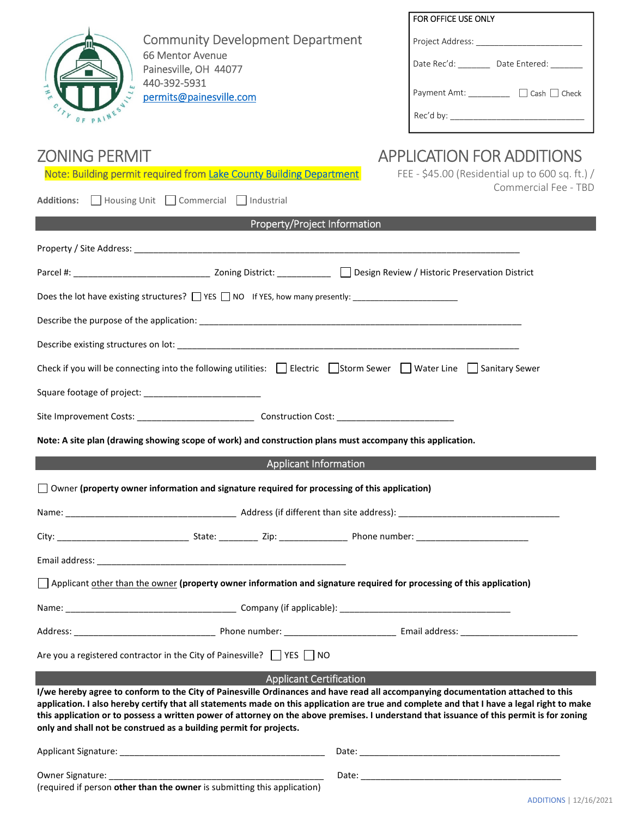|                                                                                                                                                                                                                                                                                                                                                                                                                                                                                                    | FOR OFFICE USE ONLY                                                     |
|----------------------------------------------------------------------------------------------------------------------------------------------------------------------------------------------------------------------------------------------------------------------------------------------------------------------------------------------------------------------------------------------------------------------------------------------------------------------------------------------------|-------------------------------------------------------------------------|
| <b>Community Development Department</b>                                                                                                                                                                                                                                                                                                                                                                                                                                                            |                                                                         |
| 66 Mentor Avenue<br>Painesville, OH 44077                                                                                                                                                                                                                                                                                                                                                                                                                                                          | Date Rec'd: _________ Date Entered: _______                             |
| 440-392-5931<br>$\frac{1}{2}$                                                                                                                                                                                                                                                                                                                                                                                                                                                                      | Payment Amt: <u>___________</u> □ Cash □ Check                          |
| permits@painesville.com<br>OF PAINE                                                                                                                                                                                                                                                                                                                                                                                                                                                                |                                                                         |
|                                                                                                                                                                                                                                                                                                                                                                                                                                                                                                    |                                                                         |
| <b>ZONING PERMIT</b>                                                                                                                                                                                                                                                                                                                                                                                                                                                                               | <b>APPLICATION FOR ADDITIONS</b>                                        |
| Note: Building permit required from Lake County Building Department                                                                                                                                                                                                                                                                                                                                                                                                                                | FEE - \$45.00 (Residential up to 600 sq. ft.) /<br>Commercial Fee - TBD |
| Additions: Housing Unit   Commercial   Industrial                                                                                                                                                                                                                                                                                                                                                                                                                                                  |                                                                         |
| Property/Project Information                                                                                                                                                                                                                                                                                                                                                                                                                                                                       |                                                                         |
|                                                                                                                                                                                                                                                                                                                                                                                                                                                                                                    |                                                                         |
|                                                                                                                                                                                                                                                                                                                                                                                                                                                                                                    |                                                                         |
|                                                                                                                                                                                                                                                                                                                                                                                                                                                                                                    |                                                                         |
|                                                                                                                                                                                                                                                                                                                                                                                                                                                                                                    |                                                                         |
|                                                                                                                                                                                                                                                                                                                                                                                                                                                                                                    |                                                                         |
| Check if you will be connecting into the following utilities: $\Box$ Electric $\Box$ Storm Sewer $\Box$ Water Line $\Box$ Sanitary Sewer                                                                                                                                                                                                                                                                                                                                                           |                                                                         |
|                                                                                                                                                                                                                                                                                                                                                                                                                                                                                                    |                                                                         |
|                                                                                                                                                                                                                                                                                                                                                                                                                                                                                                    |                                                                         |
| Note: A site plan (drawing showing scope of work) and construction plans must accompany this application.                                                                                                                                                                                                                                                                                                                                                                                          |                                                                         |
| <b>Applicant Information</b>                                                                                                                                                                                                                                                                                                                                                                                                                                                                       |                                                                         |
| Owner (property owner information and signature required for processing of this application)                                                                                                                                                                                                                                                                                                                                                                                                       |                                                                         |
|                                                                                                                                                                                                                                                                                                                                                                                                                                                                                                    |                                                                         |
|                                                                                                                                                                                                                                                                                                                                                                                                                                                                                                    |                                                                         |
|                                                                                                                                                                                                                                                                                                                                                                                                                                                                                                    |                                                                         |
| Applicant other than the owner (property owner information and signature required for processing of this application)                                                                                                                                                                                                                                                                                                                                                                              |                                                                         |
|                                                                                                                                                                                                                                                                                                                                                                                                                                                                                                    |                                                                         |
|                                                                                                                                                                                                                                                                                                                                                                                                                                                                                                    |                                                                         |
| Are you a registered contractor in the City of Painesville? $\Box$ YES $\Box$ NO                                                                                                                                                                                                                                                                                                                                                                                                                   |                                                                         |
| <b>Applicant Certification</b>                                                                                                                                                                                                                                                                                                                                                                                                                                                                     |                                                                         |
| I/we hereby agree to conform to the City of Painesville Ordinances and have read all accompanying documentation attached to this<br>application. I also hereby certify that all statements made on this application are true and complete and that I have a legal right to make<br>this application or to possess a written power of attorney on the above premises. I understand that issuance of this permit is for zoning<br>only and shall not be construed as a building permit for projects. |                                                                         |
|                                                                                                                                                                                                                                                                                                                                                                                                                                                                                                    |                                                                         |
| Owner Signature: The contract of the contract of the contract of the contract of the contract of the contract of the contract of the contract of the contract of the contract of the contract of the contract of the contract<br>(required if person other than the owner is submitting this application)                                                                                                                                                                                          |                                                                         |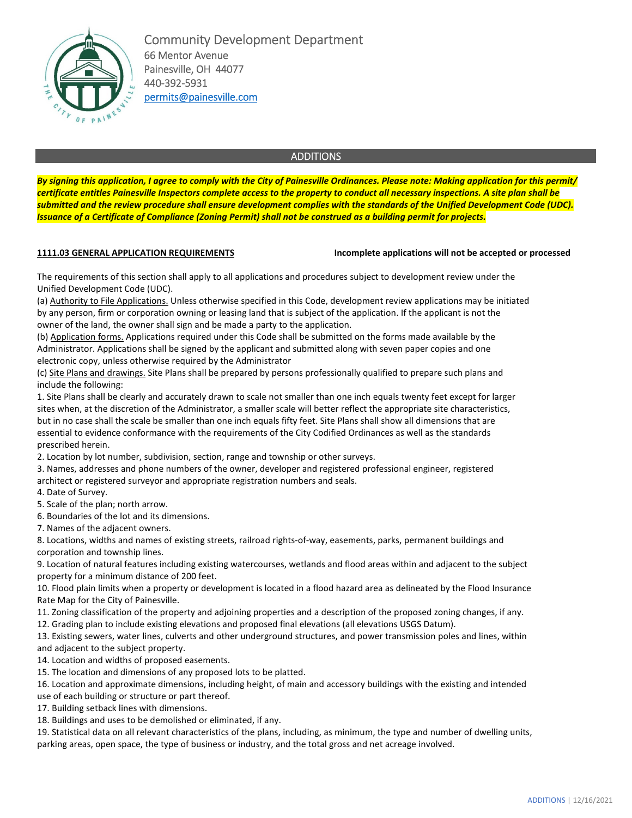

Community Development Department 66 Mentor Avenue Painesville, OH 44077 440-392-5931 permits@painesville.com

## ADDITIONS

*By signing this application, I agree to comply with the City of Painesville Ordinances. Please note: Making application for this permit/ certificate entitles Painesville Inspectors complete access to the property to conduct all necessary inspections. A site plan shall be submitted and the review procedure shall ensure development complies with the standards of the Unified Development Code (UDC). Issuance of a Certificate of Compliance (Zoning Permit) shall not be construed as a building permit for projects.* 

**1111.03 GENERAL APPLICATION REQUIREMENTS Incomplete applications will not be accepted or processed**

The requirements of this section shall apply to all applications and procedures subject to development review under the Unified Development Code (UDC).

(a) Authority to File Applications. Unless otherwise specified in this Code, development review applications may be initiated by any person, firm or corporation owning or leasing land that is subject of the application. If the applicant is not the owner of the land, the owner shall sign and be made a party to the application.

(b) Application forms. Applications required under this Code shall be submitted on the forms made available by the Administrator. Applications shall be signed by the applicant and submitted along with seven paper copies and one electronic copy, unless otherwise required by the Administrator

(c) Site Plans and drawings. Site Plans shall be prepared by persons professionally qualified to prepare such plans and include the following:

1. Site Plans shall be clearly and accurately drawn to scale not smaller than one inch equals twenty feet except for larger sites when, at the discretion of the Administrator, a smaller scale will better reflect the appropriate site characteristics, but in no case shall the scale be smaller than one inch equals fifty feet. Site Plans shall show all dimensions that are essential to evidence conformance with the requirements of the City Codified Ordinances as well as the standards prescribed herein.

2. Location by lot number, subdivision, section, range and township or other surveys.

3. Names, addresses and phone numbers of the owner, developer and registered professional engineer, registered architect or registered surveyor and appropriate registration numbers and seals.

4. Date of Survey.

5. Scale of the plan; north arrow.

6. Boundaries of the lot and its dimensions.

7. Names of the adjacent owners.

8. Locations, widths and names of existing streets, railroad rights-of-way, easements, parks, permanent buildings and corporation and township lines.

9. Location of natural features including existing watercourses, wetlands and flood areas within and adjacent to the subject property for a minimum distance of 200 feet.

10. Flood plain limits when a property or development is located in a flood hazard area as delineated by the Flood Insurance Rate Map for the City of Painesville.

11. Zoning classification of the property and adjoining properties and a description of the proposed zoning changes, if any.

12. Grading plan to include existing elevations and proposed final elevations (all elevations USGS Datum).

13. Existing sewers, water lines, culverts and other underground structures, and power transmission poles and lines, within and adjacent to the subject property.

14. Location and widths of proposed easements.

15. The location and dimensions of any proposed lots to be platted.

16. Location and approximate dimensions, including height, of main and accessory buildings with the existing and intended

use of each building or structure or part thereof.

17. Building setback lines with dimensions.

18. Buildings and uses to be demolished or eliminated, if any.

19. Statistical data on all relevant characteristics of the plans, including, as minimum, the type and number of dwelling units, parking areas, open space, the type of business or industry, and the total gross and net acreage involved.